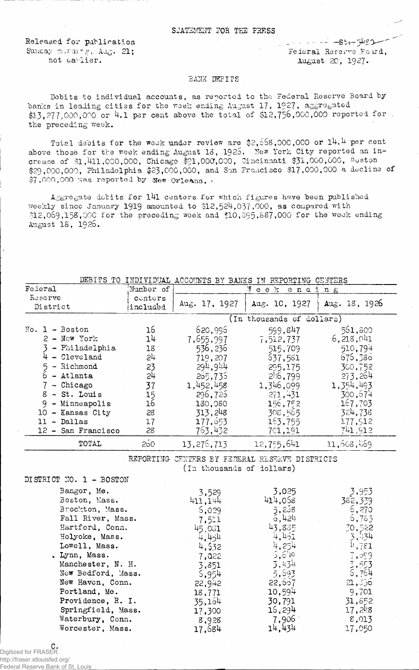Released for publication Sunday morning, Adg. 21; not earlier.

- ........... *-Str-jbS.O^'* Federal Reserve Foard. August 20, 1927.

## BANK DEPITS

Debits to individual accounts, as reported to the Federal Reserve Board by banks in leading cities for the week ending August 17, 1927, aggregated \$13,277,000,000 or 4.1 per cent above the total of \$12,756,000,000 reported for. the preceding week.

Total debits for the week under review are \$2,668,000,000 or 14.4 per cent above those for the week ending August 13, 1925. New York City reported an increase of \$1,411,000,000, Chicago \$91,000,000, Cincinnati \$31,000,000, Boston \$29,000,000, Philadelphia \$23,000,000, and San Francisco \$17,000,000 a decline of  $$7,000,000$  vas reported by New Orleans. •

Aggregate debits for 141 centers for which figures have been published weekly since January 1919 amounted to \$12,524,037,000, as compared with \$12,069,158,000 for the preceding week and \$10,395,587,000 for the week ending August IS, 1926.

| DEBITS TO<br>INDIVIDUAL ACCOUNTS BY BANKS IN<br>REPORTING CENTERS |                     |                           |                      |               |
|-------------------------------------------------------------------|---------------------|---------------------------|----------------------|---------------|
| Federal                                                           | Number of           |                           | Меек<br>ending       |               |
| Reserve<br>District                                               | conters<br>included | Aug. 17, 1927             | Aug. 10, 1927        | Aug. 18, 1926 |
|                                                                   |                     | (In thousands of dollars) |                      |               |
| $No. 1 - Boston$                                                  | 16                  | 620,996                   | 599,847              | 561,800       |
| $2 -$ New York                                                    | 14                  | 7,655,997                 | 7,512,737            | 6,218,041     |
| - Philadelphia                                                    | 18                  | 536,236                   | 515,709              | 510,794       |
| - Cleveland                                                       | 24                  | 719,207                   | 537,581              | 676,386       |
| - Richmond                                                        | 23                  | 294,944                   | 295,175              | 300,752       |
| - Atlanta                                                         | 54                  | 265,736                   | $2\frac{1}{6}$ , 799 | 273,264       |
| - Chicago                                                         | 37                  | 1,452,458                 | 1,346,099            | 1,354,493     |
| 8<br>- St. Louis                                                  | 15                  | 296, 725                  | 271,431              | 300,674       |
| - Minneapolis<br>9                                                | 16                  | 130,080                   | 156,752              | 167,703       |
| 10 - Kansas City                                                  | 28                  | 313,248                   | 308,565              | 324,738       |
| - Dallas<br>11.                                                   | 17                  | 177,653                   | 163,755              | 177,912       |
| 12 - San Francisco                                                | 28                  | 763,432                   | 701,191              | 741,912       |
| TOTAL                                                             | 260                 | 13,276,713                | 12,755,641           | 11,608,469    |

REPORTING- CENTERS BY FEDERAL RESERVE DISTRICTS

(In thousands of dollars)

DISTRICT NO.  $1 -$  BOSTON

| Bangor, Me.        | 3,529   | 3,025   | 3,953       |
|--------------------|---------|---------|-------------|
| Boston, Mass.      | 411,144 | 414,058 | 382,339     |
| Brockton, Mass.    | 6,029   | 5,258   | 6,270       |
| Fall River, Mass.  | 7,511   | 6,424   | 6,785       |
| Hartford, Conn.    | 45.031  | 43,835  | 30,522      |
| Holyoke, Mass.     | 4,4.54  | 4,451   | 3,434       |
| Lowell, Mass.      | 4,532   | 4,254   | $\mu$ , 781 |
| . Lynn, Mass.      | 7,022   | 5,6!9   | 7,09        |
| Manchester, N. H.  | 3,851   | 3,434   | 3,553       |
| New Bedford, Mass. | 5,954   | 5,693   | 6,764       |
| New Haven, Conn.   | 22,942  | 22,657  | 21,356      |
| Portland, Me.      | 18,771  | 10,594  | 9,701       |
| Providence, R. I.  | 35,164  | 30,791  | 31,852      |
| Springfield, Mass. | 17,300  | 15,294  | 17,248      |
| Waterbury, Conn.   | 8,928   | 7,906   | 8,013       |
| Worcester, Mass.   | 17,684  | 14,434  | 17,050      |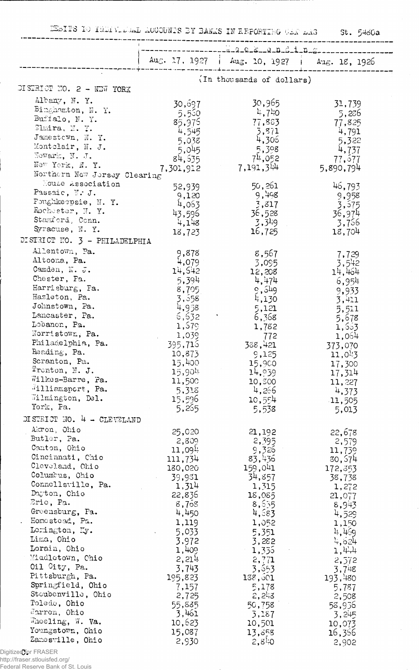| Aug. 17, 1927   Aug. 10, 1927   Aug. 18, 1926<br>(In thousands of dollars)<br>DISTRICT NO. 2 - NEW YORK<br>Albany, N.Y.<br>30,965<br>30,697<br>31,739<br>Binghamton, N.Y.<br>4,740<br>5,550<br>5,236<br>Buffalo, $N. Y.$<br>85,976<br>77,883<br>77,825<br>Slmira, N.Y.<br>4,545<br>3,871<br>4,791<br>Jamestown, N.Y.<br>4,306<br>5,038<br>5,322<br>Montclair, N. J.<br>5,045<br>5,398<br>4,737<br>Newark, N. J.<br>74,052<br>84,535<br>77,577<br>New York, N. Y.<br>7,191,344<br>7,301,912<br>5,890,794<br>Northern New Jorsey Clearing<br>House Association<br>50,261<br>46,793<br>52,939<br>Passaic, N. J.<br>9,498<br>9,120<br>9,958<br>Poughkeepsie, N.Y.<br>4,063<br>3,817<br>3,575<br>Rochester, N.Y.<br>36,528<br>43,596<br>36,974<br>Stamford, Conn.<br>3,349<br>3,756<br>4,148<br>Syracuse, N.Y.<br>16,725<br>18,704<br>18,723<br>DISTRICT NO. 3 - PHILADELPHIA<br>Allentown, Pa.<br>9,878<br>8,567<br>7,729<br>Altoona, Pa.<br>4,079<br>3,542<br>3,095<br>Camden, N. J.<br>14,542<br>14,464<br>12,208<br>Chester, Fa.<br>5,394<br>4,474<br>6,954<br>Harrisburg, Pa.<br>8,705<br>9,549<br>9,933<br>Hazleton, Pa.<br>3,558<br>$\frac{1}{2}$ , 130<br>3,411<br>Johnstown, Pa.<br>4,958<br>5,121<br>5,511<br>Lancaster, Pa.<br>6,632<br>6,368<br>5,678<br>Lebanon, Pa.<br>1,579<br>1,782<br>1,553<br>Norristown, Pa.<br>1,039<br>772<br>1,064<br>Philadelphia, Pa.<br>395,716<br>388,421<br>373,070<br>Reading, Pa.<br>10,873<br>9,125<br>11,043<br>Scranton, Pa.<br>15,400<br>15,900<br>17,300<br>$\mathbb{T}$ renton, N. J.<br>15,90 <sup>L</sup><br>14,939<br>17,314<br>Wilkes-Barre, Pa.<br>11,500<br>10,300<br>11,227<br>Jilliamsport, Pa.<br>5,318<br>4,266<br>4,373<br>Wilmington, Del.<br>15,596<br>10,554<br>11,505<br>York, Pa.<br>5,265<br>5,538<br>5,013<br>DISTRICT NO. $4 - CLEVSLAND$<br>Akron, Ohio<br>25,020<br>22,678<br>21,192<br>Butler, Pa.<br>2,395<br>2,809<br>2,579<br>Canton, Ohio<br>11,094<br>9,326<br>11,739<br>Cincinnati, Chio<br>83,436<br>111,734<br>30,574<br>Cleveland, Ohio<br>159,041<br>180,020<br>172,353<br>Columbus, Ohio<br>34,857<br>39,931<br>38,738<br>Connellsville, Pa.<br>1,314<br>1,315<br>1,272<br>Dayton, Chio<br>22,836<br>18,085<br>21,077<br>Eric, Pa.<br>8,635<br>8,758<br>8,943<br>Greensburg, Pa.<br>4,450<br>4,583<br>4,529<br>Homestead, Pa.<br>1,119<br>1,052<br>1,150<br>Lerington, Ky.<br>5,033<br>5,351<br>4.469<br>Lima, Ohio<br>3,972<br>3,282<br>4,624<br>Lorain, Ohio<br>1,409<br>1,335<br>1,4.4<br>Miadletown, Chio<br>2,214<br>2,771<br>2,572<br>Oil City, Pa.<br>3,743<br>3,653<br>3,748<br>Pittsburgh, Pa.<br>193,480<br>195,823<br>138,501<br>Springfield, Ohio<br>7,157<br>5,178<br>5,787<br>Steubenville, Ohio<br>2,725<br>2,243<br>2,508<br>Toledo, Ohio<br>55,885<br>50,758<br>58,936<br>Jarren, Ohio<br>3,461<br>3,187<br>3,245<br>Wheeling, W. Va.<br>10,623<br>10,501<br>10,073<br>Youngstown, Ohio<br>15,087<br>13,858<br>16,356<br>Zanesville, Ohio<br>2,930<br>2,8!0<br>2,902 | DESITS TO THEIN WILLIAM ACCOUNTS BY BANKS IN REPORTING CAN ARS St. 5480a |  |  |  |
|----------------------------------------------------------------------------------------------------------------------------------------------------------------------------------------------------------------------------------------------------------------------------------------------------------------------------------------------------------------------------------------------------------------------------------------------------------------------------------------------------------------------------------------------------------------------------------------------------------------------------------------------------------------------------------------------------------------------------------------------------------------------------------------------------------------------------------------------------------------------------------------------------------------------------------------------------------------------------------------------------------------------------------------------------------------------------------------------------------------------------------------------------------------------------------------------------------------------------------------------------------------------------------------------------------------------------------------------------------------------------------------------------------------------------------------------------------------------------------------------------------------------------------------------------------------------------------------------------------------------------------------------------------------------------------------------------------------------------------------------------------------------------------------------------------------------------------------------------------------------------------------------------------------------------------------------------------------------------------------------------------------------------------------------------------------------------------------------------------------------------------------------------------------------------------------------------------------------------------------------------------------------------------------------------------------------------------------------------------------------------------------------------------------------------------------------------------------------------------------------------------------------------------------------------------------------------------------------------------------------------------------------------------------------------------------------------------------------------------------------------------------------------------------------------------------------------------------------------------------------------------------------------------------------------------------------------------------------|--------------------------------------------------------------------------|--|--|--|
|                                                                                                                                                                                                                                                                                                                                                                                                                                                                                                                                                                                                                                                                                                                                                                                                                                                                                                                                                                                                                                                                                                                                                                                                                                                                                                                                                                                                                                                                                                                                                                                                                                                                                                                                                                                                                                                                                                                                                                                                                                                                                                                                                                                                                                                                                                                                                                                                                                                                                                                                                                                                                                                                                                                                                                                                                                                                                                                                                                      |                                                                          |  |  |  |
|                                                                                                                                                                                                                                                                                                                                                                                                                                                                                                                                                                                                                                                                                                                                                                                                                                                                                                                                                                                                                                                                                                                                                                                                                                                                                                                                                                                                                                                                                                                                                                                                                                                                                                                                                                                                                                                                                                                                                                                                                                                                                                                                                                                                                                                                                                                                                                                                                                                                                                                                                                                                                                                                                                                                                                                                                                                                                                                                                                      |                                                                          |  |  |  |
|                                                                                                                                                                                                                                                                                                                                                                                                                                                                                                                                                                                                                                                                                                                                                                                                                                                                                                                                                                                                                                                                                                                                                                                                                                                                                                                                                                                                                                                                                                                                                                                                                                                                                                                                                                                                                                                                                                                                                                                                                                                                                                                                                                                                                                                                                                                                                                                                                                                                                                                                                                                                                                                                                                                                                                                                                                                                                                                                                                      |                                                                          |  |  |  |
|                                                                                                                                                                                                                                                                                                                                                                                                                                                                                                                                                                                                                                                                                                                                                                                                                                                                                                                                                                                                                                                                                                                                                                                                                                                                                                                                                                                                                                                                                                                                                                                                                                                                                                                                                                                                                                                                                                                                                                                                                                                                                                                                                                                                                                                                                                                                                                                                                                                                                                                                                                                                                                                                                                                                                                                                                                                                                                                                                                      |                                                                          |  |  |  |
|                                                                                                                                                                                                                                                                                                                                                                                                                                                                                                                                                                                                                                                                                                                                                                                                                                                                                                                                                                                                                                                                                                                                                                                                                                                                                                                                                                                                                                                                                                                                                                                                                                                                                                                                                                                                                                                                                                                                                                                                                                                                                                                                                                                                                                                                                                                                                                                                                                                                                                                                                                                                                                                                                                                                                                                                                                                                                                                                                                      |                                                                          |  |  |  |
|                                                                                                                                                                                                                                                                                                                                                                                                                                                                                                                                                                                                                                                                                                                                                                                                                                                                                                                                                                                                                                                                                                                                                                                                                                                                                                                                                                                                                                                                                                                                                                                                                                                                                                                                                                                                                                                                                                                                                                                                                                                                                                                                                                                                                                                                                                                                                                                                                                                                                                                                                                                                                                                                                                                                                                                                                                                                                                                                                                      |                                                                          |  |  |  |
|                                                                                                                                                                                                                                                                                                                                                                                                                                                                                                                                                                                                                                                                                                                                                                                                                                                                                                                                                                                                                                                                                                                                                                                                                                                                                                                                                                                                                                                                                                                                                                                                                                                                                                                                                                                                                                                                                                                                                                                                                                                                                                                                                                                                                                                                                                                                                                                                                                                                                                                                                                                                                                                                                                                                                                                                                                                                                                                                                                      |                                                                          |  |  |  |
|                                                                                                                                                                                                                                                                                                                                                                                                                                                                                                                                                                                                                                                                                                                                                                                                                                                                                                                                                                                                                                                                                                                                                                                                                                                                                                                                                                                                                                                                                                                                                                                                                                                                                                                                                                                                                                                                                                                                                                                                                                                                                                                                                                                                                                                                                                                                                                                                                                                                                                                                                                                                                                                                                                                                                                                                                                                                                                                                                                      |                                                                          |  |  |  |
|                                                                                                                                                                                                                                                                                                                                                                                                                                                                                                                                                                                                                                                                                                                                                                                                                                                                                                                                                                                                                                                                                                                                                                                                                                                                                                                                                                                                                                                                                                                                                                                                                                                                                                                                                                                                                                                                                                                                                                                                                                                                                                                                                                                                                                                                                                                                                                                                                                                                                                                                                                                                                                                                                                                                                                                                                                                                                                                                                                      |                                                                          |  |  |  |
|                                                                                                                                                                                                                                                                                                                                                                                                                                                                                                                                                                                                                                                                                                                                                                                                                                                                                                                                                                                                                                                                                                                                                                                                                                                                                                                                                                                                                                                                                                                                                                                                                                                                                                                                                                                                                                                                                                                                                                                                                                                                                                                                                                                                                                                                                                                                                                                                                                                                                                                                                                                                                                                                                                                                                                                                                                                                                                                                                                      |                                                                          |  |  |  |
|                                                                                                                                                                                                                                                                                                                                                                                                                                                                                                                                                                                                                                                                                                                                                                                                                                                                                                                                                                                                                                                                                                                                                                                                                                                                                                                                                                                                                                                                                                                                                                                                                                                                                                                                                                                                                                                                                                                                                                                                                                                                                                                                                                                                                                                                                                                                                                                                                                                                                                                                                                                                                                                                                                                                                                                                                                                                                                                                                                      |                                                                          |  |  |  |
|                                                                                                                                                                                                                                                                                                                                                                                                                                                                                                                                                                                                                                                                                                                                                                                                                                                                                                                                                                                                                                                                                                                                                                                                                                                                                                                                                                                                                                                                                                                                                                                                                                                                                                                                                                                                                                                                                                                                                                                                                                                                                                                                                                                                                                                                                                                                                                                                                                                                                                                                                                                                                                                                                                                                                                                                                                                                                                                                                                      |                                                                          |  |  |  |
|                                                                                                                                                                                                                                                                                                                                                                                                                                                                                                                                                                                                                                                                                                                                                                                                                                                                                                                                                                                                                                                                                                                                                                                                                                                                                                                                                                                                                                                                                                                                                                                                                                                                                                                                                                                                                                                                                                                                                                                                                                                                                                                                                                                                                                                                                                                                                                                                                                                                                                                                                                                                                                                                                                                                                                                                                                                                                                                                                                      |                                                                          |  |  |  |
|                                                                                                                                                                                                                                                                                                                                                                                                                                                                                                                                                                                                                                                                                                                                                                                                                                                                                                                                                                                                                                                                                                                                                                                                                                                                                                                                                                                                                                                                                                                                                                                                                                                                                                                                                                                                                                                                                                                                                                                                                                                                                                                                                                                                                                                                                                                                                                                                                                                                                                                                                                                                                                                                                                                                                                                                                                                                                                                                                                      |                                                                          |  |  |  |
|                                                                                                                                                                                                                                                                                                                                                                                                                                                                                                                                                                                                                                                                                                                                                                                                                                                                                                                                                                                                                                                                                                                                                                                                                                                                                                                                                                                                                                                                                                                                                                                                                                                                                                                                                                                                                                                                                                                                                                                                                                                                                                                                                                                                                                                                                                                                                                                                                                                                                                                                                                                                                                                                                                                                                                                                                                                                                                                                                                      |                                                                          |  |  |  |
|                                                                                                                                                                                                                                                                                                                                                                                                                                                                                                                                                                                                                                                                                                                                                                                                                                                                                                                                                                                                                                                                                                                                                                                                                                                                                                                                                                                                                                                                                                                                                                                                                                                                                                                                                                                                                                                                                                                                                                                                                                                                                                                                                                                                                                                                                                                                                                                                                                                                                                                                                                                                                                                                                                                                                                                                                                                                                                                                                                      |                                                                          |  |  |  |
|                                                                                                                                                                                                                                                                                                                                                                                                                                                                                                                                                                                                                                                                                                                                                                                                                                                                                                                                                                                                                                                                                                                                                                                                                                                                                                                                                                                                                                                                                                                                                                                                                                                                                                                                                                                                                                                                                                                                                                                                                                                                                                                                                                                                                                                                                                                                                                                                                                                                                                                                                                                                                                                                                                                                                                                                                                                                                                                                                                      |                                                                          |  |  |  |
|                                                                                                                                                                                                                                                                                                                                                                                                                                                                                                                                                                                                                                                                                                                                                                                                                                                                                                                                                                                                                                                                                                                                                                                                                                                                                                                                                                                                                                                                                                                                                                                                                                                                                                                                                                                                                                                                                                                                                                                                                                                                                                                                                                                                                                                                                                                                                                                                                                                                                                                                                                                                                                                                                                                                                                                                                                                                                                                                                                      |                                                                          |  |  |  |
|                                                                                                                                                                                                                                                                                                                                                                                                                                                                                                                                                                                                                                                                                                                                                                                                                                                                                                                                                                                                                                                                                                                                                                                                                                                                                                                                                                                                                                                                                                                                                                                                                                                                                                                                                                                                                                                                                                                                                                                                                                                                                                                                                                                                                                                                                                                                                                                                                                                                                                                                                                                                                                                                                                                                                                                                                                                                                                                                                                      |                                                                          |  |  |  |
|                                                                                                                                                                                                                                                                                                                                                                                                                                                                                                                                                                                                                                                                                                                                                                                                                                                                                                                                                                                                                                                                                                                                                                                                                                                                                                                                                                                                                                                                                                                                                                                                                                                                                                                                                                                                                                                                                                                                                                                                                                                                                                                                                                                                                                                                                                                                                                                                                                                                                                                                                                                                                                                                                                                                                                                                                                                                                                                                                                      |                                                                          |  |  |  |
|                                                                                                                                                                                                                                                                                                                                                                                                                                                                                                                                                                                                                                                                                                                                                                                                                                                                                                                                                                                                                                                                                                                                                                                                                                                                                                                                                                                                                                                                                                                                                                                                                                                                                                                                                                                                                                                                                                                                                                                                                                                                                                                                                                                                                                                                                                                                                                                                                                                                                                                                                                                                                                                                                                                                                                                                                                                                                                                                                                      |                                                                          |  |  |  |
|                                                                                                                                                                                                                                                                                                                                                                                                                                                                                                                                                                                                                                                                                                                                                                                                                                                                                                                                                                                                                                                                                                                                                                                                                                                                                                                                                                                                                                                                                                                                                                                                                                                                                                                                                                                                                                                                                                                                                                                                                                                                                                                                                                                                                                                                                                                                                                                                                                                                                                                                                                                                                                                                                                                                                                                                                                                                                                                                                                      |                                                                          |  |  |  |
|                                                                                                                                                                                                                                                                                                                                                                                                                                                                                                                                                                                                                                                                                                                                                                                                                                                                                                                                                                                                                                                                                                                                                                                                                                                                                                                                                                                                                                                                                                                                                                                                                                                                                                                                                                                                                                                                                                                                                                                                                                                                                                                                                                                                                                                                                                                                                                                                                                                                                                                                                                                                                                                                                                                                                                                                                                                                                                                                                                      |                                                                          |  |  |  |
|                                                                                                                                                                                                                                                                                                                                                                                                                                                                                                                                                                                                                                                                                                                                                                                                                                                                                                                                                                                                                                                                                                                                                                                                                                                                                                                                                                                                                                                                                                                                                                                                                                                                                                                                                                                                                                                                                                                                                                                                                                                                                                                                                                                                                                                                                                                                                                                                                                                                                                                                                                                                                                                                                                                                                                                                                                                                                                                                                                      |                                                                          |  |  |  |
|                                                                                                                                                                                                                                                                                                                                                                                                                                                                                                                                                                                                                                                                                                                                                                                                                                                                                                                                                                                                                                                                                                                                                                                                                                                                                                                                                                                                                                                                                                                                                                                                                                                                                                                                                                                                                                                                                                                                                                                                                                                                                                                                                                                                                                                                                                                                                                                                                                                                                                                                                                                                                                                                                                                                                                                                                                                                                                                                                                      |                                                                          |  |  |  |
|                                                                                                                                                                                                                                                                                                                                                                                                                                                                                                                                                                                                                                                                                                                                                                                                                                                                                                                                                                                                                                                                                                                                                                                                                                                                                                                                                                                                                                                                                                                                                                                                                                                                                                                                                                                                                                                                                                                                                                                                                                                                                                                                                                                                                                                                                                                                                                                                                                                                                                                                                                                                                                                                                                                                                                                                                                                                                                                                                                      |                                                                          |  |  |  |
|                                                                                                                                                                                                                                                                                                                                                                                                                                                                                                                                                                                                                                                                                                                                                                                                                                                                                                                                                                                                                                                                                                                                                                                                                                                                                                                                                                                                                                                                                                                                                                                                                                                                                                                                                                                                                                                                                                                                                                                                                                                                                                                                                                                                                                                                                                                                                                                                                                                                                                                                                                                                                                                                                                                                                                                                                                                                                                                                                                      |                                                                          |  |  |  |
|                                                                                                                                                                                                                                                                                                                                                                                                                                                                                                                                                                                                                                                                                                                                                                                                                                                                                                                                                                                                                                                                                                                                                                                                                                                                                                                                                                                                                                                                                                                                                                                                                                                                                                                                                                                                                                                                                                                                                                                                                                                                                                                                                                                                                                                                                                                                                                                                                                                                                                                                                                                                                                                                                                                                                                                                                                                                                                                                                                      |                                                                          |  |  |  |
|                                                                                                                                                                                                                                                                                                                                                                                                                                                                                                                                                                                                                                                                                                                                                                                                                                                                                                                                                                                                                                                                                                                                                                                                                                                                                                                                                                                                                                                                                                                                                                                                                                                                                                                                                                                                                                                                                                                                                                                                                                                                                                                                                                                                                                                                                                                                                                                                                                                                                                                                                                                                                                                                                                                                                                                                                                                                                                                                                                      |                                                                          |  |  |  |
|                                                                                                                                                                                                                                                                                                                                                                                                                                                                                                                                                                                                                                                                                                                                                                                                                                                                                                                                                                                                                                                                                                                                                                                                                                                                                                                                                                                                                                                                                                                                                                                                                                                                                                                                                                                                                                                                                                                                                                                                                                                                                                                                                                                                                                                                                                                                                                                                                                                                                                                                                                                                                                                                                                                                                                                                                                                                                                                                                                      |                                                                          |  |  |  |
|                                                                                                                                                                                                                                                                                                                                                                                                                                                                                                                                                                                                                                                                                                                                                                                                                                                                                                                                                                                                                                                                                                                                                                                                                                                                                                                                                                                                                                                                                                                                                                                                                                                                                                                                                                                                                                                                                                                                                                                                                                                                                                                                                                                                                                                                                                                                                                                                                                                                                                                                                                                                                                                                                                                                                                                                                                                                                                                                                                      |                                                                          |  |  |  |
|                                                                                                                                                                                                                                                                                                                                                                                                                                                                                                                                                                                                                                                                                                                                                                                                                                                                                                                                                                                                                                                                                                                                                                                                                                                                                                                                                                                                                                                                                                                                                                                                                                                                                                                                                                                                                                                                                                                                                                                                                                                                                                                                                                                                                                                                                                                                                                                                                                                                                                                                                                                                                                                                                                                                                                                                                                                                                                                                                                      |                                                                          |  |  |  |
|                                                                                                                                                                                                                                                                                                                                                                                                                                                                                                                                                                                                                                                                                                                                                                                                                                                                                                                                                                                                                                                                                                                                                                                                                                                                                                                                                                                                                                                                                                                                                                                                                                                                                                                                                                                                                                                                                                                                                                                                                                                                                                                                                                                                                                                                                                                                                                                                                                                                                                                                                                                                                                                                                                                                                                                                                                                                                                                                                                      |                                                                          |  |  |  |
|                                                                                                                                                                                                                                                                                                                                                                                                                                                                                                                                                                                                                                                                                                                                                                                                                                                                                                                                                                                                                                                                                                                                                                                                                                                                                                                                                                                                                                                                                                                                                                                                                                                                                                                                                                                                                                                                                                                                                                                                                                                                                                                                                                                                                                                                                                                                                                                                                                                                                                                                                                                                                                                                                                                                                                                                                                                                                                                                                                      |                                                                          |  |  |  |
|                                                                                                                                                                                                                                                                                                                                                                                                                                                                                                                                                                                                                                                                                                                                                                                                                                                                                                                                                                                                                                                                                                                                                                                                                                                                                                                                                                                                                                                                                                                                                                                                                                                                                                                                                                                                                                                                                                                                                                                                                                                                                                                                                                                                                                                                                                                                                                                                                                                                                                                                                                                                                                                                                                                                                                                                                                                                                                                                                                      |                                                                          |  |  |  |
|                                                                                                                                                                                                                                                                                                                                                                                                                                                                                                                                                                                                                                                                                                                                                                                                                                                                                                                                                                                                                                                                                                                                                                                                                                                                                                                                                                                                                                                                                                                                                                                                                                                                                                                                                                                                                                                                                                                                                                                                                                                                                                                                                                                                                                                                                                                                                                                                                                                                                                                                                                                                                                                                                                                                                                                                                                                                                                                                                                      |                                                                          |  |  |  |
|                                                                                                                                                                                                                                                                                                                                                                                                                                                                                                                                                                                                                                                                                                                                                                                                                                                                                                                                                                                                                                                                                                                                                                                                                                                                                                                                                                                                                                                                                                                                                                                                                                                                                                                                                                                                                                                                                                                                                                                                                                                                                                                                                                                                                                                                                                                                                                                                                                                                                                                                                                                                                                                                                                                                                                                                                                                                                                                                                                      |                                                                          |  |  |  |
|                                                                                                                                                                                                                                                                                                                                                                                                                                                                                                                                                                                                                                                                                                                                                                                                                                                                                                                                                                                                                                                                                                                                                                                                                                                                                                                                                                                                                                                                                                                                                                                                                                                                                                                                                                                                                                                                                                                                                                                                                                                                                                                                                                                                                                                                                                                                                                                                                                                                                                                                                                                                                                                                                                                                                                                                                                                                                                                                                                      |                                                                          |  |  |  |
|                                                                                                                                                                                                                                                                                                                                                                                                                                                                                                                                                                                                                                                                                                                                                                                                                                                                                                                                                                                                                                                                                                                                                                                                                                                                                                                                                                                                                                                                                                                                                                                                                                                                                                                                                                                                                                                                                                                                                                                                                                                                                                                                                                                                                                                                                                                                                                                                                                                                                                                                                                                                                                                                                                                                                                                                                                                                                                                                                                      |                                                                          |  |  |  |
|                                                                                                                                                                                                                                                                                                                                                                                                                                                                                                                                                                                                                                                                                                                                                                                                                                                                                                                                                                                                                                                                                                                                                                                                                                                                                                                                                                                                                                                                                                                                                                                                                                                                                                                                                                                                                                                                                                                                                                                                                                                                                                                                                                                                                                                                                                                                                                                                                                                                                                                                                                                                                                                                                                                                                                                                                                                                                                                                                                      |                                                                          |  |  |  |
|                                                                                                                                                                                                                                                                                                                                                                                                                                                                                                                                                                                                                                                                                                                                                                                                                                                                                                                                                                                                                                                                                                                                                                                                                                                                                                                                                                                                                                                                                                                                                                                                                                                                                                                                                                                                                                                                                                                                                                                                                                                                                                                                                                                                                                                                                                                                                                                                                                                                                                                                                                                                                                                                                                                                                                                                                                                                                                                                                                      |                                                                          |  |  |  |
|                                                                                                                                                                                                                                                                                                                                                                                                                                                                                                                                                                                                                                                                                                                                                                                                                                                                                                                                                                                                                                                                                                                                                                                                                                                                                                                                                                                                                                                                                                                                                                                                                                                                                                                                                                                                                                                                                                                                                                                                                                                                                                                                                                                                                                                                                                                                                                                                                                                                                                                                                                                                                                                                                                                                                                                                                                                                                                                                                                      |                                                                          |  |  |  |
|                                                                                                                                                                                                                                                                                                                                                                                                                                                                                                                                                                                                                                                                                                                                                                                                                                                                                                                                                                                                                                                                                                                                                                                                                                                                                                                                                                                                                                                                                                                                                                                                                                                                                                                                                                                                                                                                                                                                                                                                                                                                                                                                                                                                                                                                                                                                                                                                                                                                                                                                                                                                                                                                                                                                                                                                                                                                                                                                                                      |                                                                          |  |  |  |
|                                                                                                                                                                                                                                                                                                                                                                                                                                                                                                                                                                                                                                                                                                                                                                                                                                                                                                                                                                                                                                                                                                                                                                                                                                                                                                                                                                                                                                                                                                                                                                                                                                                                                                                                                                                                                                                                                                                                                                                                                                                                                                                                                                                                                                                                                                                                                                                                                                                                                                                                                                                                                                                                                                                                                                                                                                                                                                                                                                      |                                                                          |  |  |  |
|                                                                                                                                                                                                                                                                                                                                                                                                                                                                                                                                                                                                                                                                                                                                                                                                                                                                                                                                                                                                                                                                                                                                                                                                                                                                                                                                                                                                                                                                                                                                                                                                                                                                                                                                                                                                                                                                                                                                                                                                                                                                                                                                                                                                                                                                                                                                                                                                                                                                                                                                                                                                                                                                                                                                                                                                                                                                                                                                                                      |                                                                          |  |  |  |
|                                                                                                                                                                                                                                                                                                                                                                                                                                                                                                                                                                                                                                                                                                                                                                                                                                                                                                                                                                                                                                                                                                                                                                                                                                                                                                                                                                                                                                                                                                                                                                                                                                                                                                                                                                                                                                                                                                                                                                                                                                                                                                                                                                                                                                                                                                                                                                                                                                                                                                                                                                                                                                                                                                                                                                                                                                                                                                                                                                      |                                                                          |  |  |  |
|                                                                                                                                                                                                                                                                                                                                                                                                                                                                                                                                                                                                                                                                                                                                                                                                                                                                                                                                                                                                                                                                                                                                                                                                                                                                                                                                                                                                                                                                                                                                                                                                                                                                                                                                                                                                                                                                                                                                                                                                                                                                                                                                                                                                                                                                                                                                                                                                                                                                                                                                                                                                                                                                                                                                                                                                                                                                                                                                                                      |                                                                          |  |  |  |
|                                                                                                                                                                                                                                                                                                                                                                                                                                                                                                                                                                                                                                                                                                                                                                                                                                                                                                                                                                                                                                                                                                                                                                                                                                                                                                                                                                                                                                                                                                                                                                                                                                                                                                                                                                                                                                                                                                                                                                                                                                                                                                                                                                                                                                                                                                                                                                                                                                                                                                                                                                                                                                                                                                                                                                                                                                                                                                                                                                      |                                                                          |  |  |  |
|                                                                                                                                                                                                                                                                                                                                                                                                                                                                                                                                                                                                                                                                                                                                                                                                                                                                                                                                                                                                                                                                                                                                                                                                                                                                                                                                                                                                                                                                                                                                                                                                                                                                                                                                                                                                                                                                                                                                                                                                                                                                                                                                                                                                                                                                                                                                                                                                                                                                                                                                                                                                                                                                                                                                                                                                                                                                                                                                                                      |                                                                          |  |  |  |
|                                                                                                                                                                                                                                                                                                                                                                                                                                                                                                                                                                                                                                                                                                                                                                                                                                                                                                                                                                                                                                                                                                                                                                                                                                                                                                                                                                                                                                                                                                                                                                                                                                                                                                                                                                                                                                                                                                                                                                                                                                                                                                                                                                                                                                                                                                                                                                                                                                                                                                                                                                                                                                                                                                                                                                                                                                                                                                                                                                      |                                                                          |  |  |  |
|                                                                                                                                                                                                                                                                                                                                                                                                                                                                                                                                                                                                                                                                                                                                                                                                                                                                                                                                                                                                                                                                                                                                                                                                                                                                                                                                                                                                                                                                                                                                                                                                                                                                                                                                                                                                                                                                                                                                                                                                                                                                                                                                                                                                                                                                                                                                                                                                                                                                                                                                                                                                                                                                                                                                                                                                                                                                                                                                                                      |                                                                          |  |  |  |
|                                                                                                                                                                                                                                                                                                                                                                                                                                                                                                                                                                                                                                                                                                                                                                                                                                                                                                                                                                                                                                                                                                                                                                                                                                                                                                                                                                                                                                                                                                                                                                                                                                                                                                                                                                                                                                                                                                                                                                                                                                                                                                                                                                                                                                                                                                                                                                                                                                                                                                                                                                                                                                                                                                                                                                                                                                                                                                                                                                      |                                                                          |  |  |  |
|                                                                                                                                                                                                                                                                                                                                                                                                                                                                                                                                                                                                                                                                                                                                                                                                                                                                                                                                                                                                                                                                                                                                                                                                                                                                                                                                                                                                                                                                                                                                                                                                                                                                                                                                                                                                                                                                                                                                                                                                                                                                                                                                                                                                                                                                                                                                                                                                                                                                                                                                                                                                                                                                                                                                                                                                                                                                                                                                                                      |                                                                          |  |  |  |
|                                                                                                                                                                                                                                                                                                                                                                                                                                                                                                                                                                                                                                                                                                                                                                                                                                                                                                                                                                                                                                                                                                                                                                                                                                                                                                                                                                                                                                                                                                                                                                                                                                                                                                                                                                                                                                                                                                                                                                                                                                                                                                                                                                                                                                                                                                                                                                                                                                                                                                                                                                                                                                                                                                                                                                                                                                                                                                                                                                      |                                                                          |  |  |  |
|                                                                                                                                                                                                                                                                                                                                                                                                                                                                                                                                                                                                                                                                                                                                                                                                                                                                                                                                                                                                                                                                                                                                                                                                                                                                                                                                                                                                                                                                                                                                                                                                                                                                                                                                                                                                                                                                                                                                                                                                                                                                                                                                                                                                                                                                                                                                                                                                                                                                                                                                                                                                                                                                                                                                                                                                                                                                                                                                                                      |                                                                          |  |  |  |
|                                                                                                                                                                                                                                                                                                                                                                                                                                                                                                                                                                                                                                                                                                                                                                                                                                                                                                                                                                                                                                                                                                                                                                                                                                                                                                                                                                                                                                                                                                                                                                                                                                                                                                                                                                                                                                                                                                                                                                                                                                                                                                                                                                                                                                                                                                                                                                                                                                                                                                                                                                                                                                                                                                                                                                                                                                                                                                                                                                      |                                                                          |  |  |  |
|                                                                                                                                                                                                                                                                                                                                                                                                                                                                                                                                                                                                                                                                                                                                                                                                                                                                                                                                                                                                                                                                                                                                                                                                                                                                                                                                                                                                                                                                                                                                                                                                                                                                                                                                                                                                                                                                                                                                                                                                                                                                                                                                                                                                                                                                                                                                                                                                                                                                                                                                                                                                                                                                                                                                                                                                                                                                                                                                                                      |                                                                          |  |  |  |
|                                                                                                                                                                                                                                                                                                                                                                                                                                                                                                                                                                                                                                                                                                                                                                                                                                                                                                                                                                                                                                                                                                                                                                                                                                                                                                                                                                                                                                                                                                                                                                                                                                                                                                                                                                                                                                                                                                                                                                                                                                                                                                                                                                                                                                                                                                                                                                                                                                                                                                                                                                                                                                                                                                                                                                                                                                                                                                                                                                      |                                                                          |  |  |  |
|                                                                                                                                                                                                                                                                                                                                                                                                                                                                                                                                                                                                                                                                                                                                                                                                                                                                                                                                                                                                                                                                                                                                                                                                                                                                                                                                                                                                                                                                                                                                                                                                                                                                                                                                                                                                                                                                                                                                                                                                                                                                                                                                                                                                                                                                                                                                                                                                                                                                                                                                                                                                                                                                                                                                                                                                                                                                                                                                                                      |                                                                          |  |  |  |
|                                                                                                                                                                                                                                                                                                                                                                                                                                                                                                                                                                                                                                                                                                                                                                                                                                                                                                                                                                                                                                                                                                                                                                                                                                                                                                                                                                                                                                                                                                                                                                                                                                                                                                                                                                                                                                                                                                                                                                                                                                                                                                                                                                                                                                                                                                                                                                                                                                                                                                                                                                                                                                                                                                                                                                                                                                                                                                                                                                      |                                                                          |  |  |  |
|                                                                                                                                                                                                                                                                                                                                                                                                                                                                                                                                                                                                                                                                                                                                                                                                                                                                                                                                                                                                                                                                                                                                                                                                                                                                                                                                                                                                                                                                                                                                                                                                                                                                                                                                                                                                                                                                                                                                                                                                                                                                                                                                                                                                                                                                                                                                                                                                                                                                                                                                                                                                                                                                                                                                                                                                                                                                                                                                                                      |                                                                          |  |  |  |
|                                                                                                                                                                                                                                                                                                                                                                                                                                                                                                                                                                                                                                                                                                                                                                                                                                                                                                                                                                                                                                                                                                                                                                                                                                                                                                                                                                                                                                                                                                                                                                                                                                                                                                                                                                                                                                                                                                                                                                                                                                                                                                                                                                                                                                                                                                                                                                                                                                                                                                                                                                                                                                                                                                                                                                                                                                                                                                                                                                      |                                                                          |  |  |  |

Digitized for FRASER<br>http://fraser.stlouisfed.org/<br>Federal Reserve Bank of St. Louis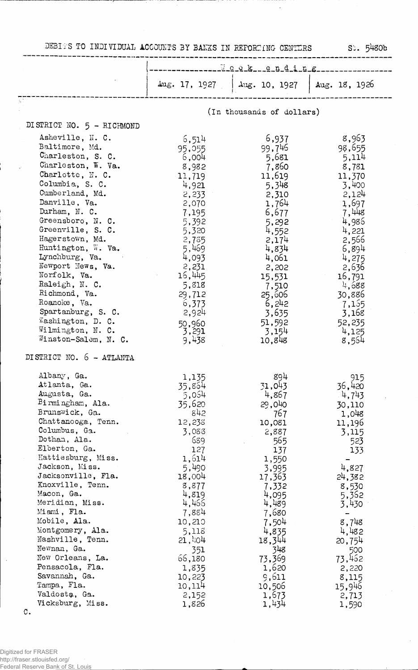DEBITS TO INDIVIDUAL ACCOUNTS BY BANKS IN REPORTING CENTERS ST. 5480b

—

|                                                                                                                                                                                                                                                                                                                                                                                                                                                                                                            | 1.0.0.k0.n.d.i.n.g                                                                                                                                                                                                                      |                                                                                                                                                                                                                                     |                                                                                                                                                                                                                     |
|------------------------------------------------------------------------------------------------------------------------------------------------------------------------------------------------------------------------------------------------------------------------------------------------------------------------------------------------------------------------------------------------------------------------------------------------------------------------------------------------------------|-----------------------------------------------------------------------------------------------------------------------------------------------------------------------------------------------------------------------------------------|-------------------------------------------------------------------------------------------------------------------------------------------------------------------------------------------------------------------------------------|---------------------------------------------------------------------------------------------------------------------------------------------------------------------------------------------------------------------|
|                                                                                                                                                                                                                                                                                                                                                                                                                                                                                                            | Aug. 17, 1927                                                                                                                                                                                                                           | Aug. 10, 1927                                                                                                                                                                                                                       | Aug. 18, 1926                                                                                                                                                                                                       |
|                                                                                                                                                                                                                                                                                                                                                                                                                                                                                                            | (In thousands of dollars)                                                                                                                                                                                                               |                                                                                                                                                                                                                                     |                                                                                                                                                                                                                     |
| DISTRICT NO. 5 - RICHMOND                                                                                                                                                                                                                                                                                                                                                                                                                                                                                  |                                                                                                                                                                                                                                         |                                                                                                                                                                                                                                     |                                                                                                                                                                                                                     |
| Asheville, N. C.<br>Baltimore, Md.<br>Charleston, S. C.<br>Charleston, W. Va.<br>Charlotte, N. C.<br>Columbia, S. C.<br>Cumberland, Md.<br>Danville, Va.<br>Durham, N. C.<br>Greensboro, N. C.<br>Greenville, S. C.<br>Hagerstown, Md.<br>Huntington, W. Va.<br>Lynchburg, Va.<br>Newport News. Va.<br>Norfolk, Va.<br>Raleigh, N. C.<br>Richmond, Va.<br>Roanoke, Va.<br>Spartanburg, S. C.<br>Washington, D. C.<br>Wilmington, N. C.<br>Winston-Salem, N. C.                                             | 6,514<br>95,055<br>6,004<br>8,982<br>11,719<br>4,921<br>2,233<br>2,070<br>7,195<br>5,392<br>5,320<br>2,785<br>5,469<br>4,093<br>2,231<br>16,445<br>5,818<br>29,712<br>6,373<br>2,924<br>50,960<br>3,291<br>9,438                        | 6,937<br>99,746<br>5,681<br>7,860<br>11,619<br>5,348<br>2,310<br>1,764<br>6,677<br>5,292<br>4,552<br>2,174<br>4,834<br>4,061<br>2,202<br>15,531<br>7,510<br>25,606<br>6,242<br>3,635<br>51,592<br>3,154<br>10,848                   | 8,963<br>98,655<br>5,114<br>8,781<br>11,370<br>3,400<br>2,124<br>1,697<br>7,448<br>4,986<br>4,221<br>2,566<br>6,894<br>4,275<br>2,636<br>16,791<br>4,688<br>30,886<br>7,155<br>3,168<br>52,235<br>4,125<br>8,554    |
| DISTRICT NO. 6 - ATLANTA<br>Albany, Ga.<br>Atlanta, Ga.<br>Augusta, Ga.<br>Birmingham, Ala.<br>Brunswick, Ga.<br>Chattanooga, Tenn.<br>Columbus, Ga.<br>Dothan, Ala.<br>Elberton, Ga.<br>Hattiesburg, Miss.<br>Jackson, Miss.<br>Jacksonville, Fla.<br>Knoxville, Tenn.<br>Macon, Ga.<br>Meridian, Miss.<br>Miami, Fla.<br>Mobile, Ala.<br>Montgomery, Ala.<br>Nashville, Tenn.<br>Newnan, Ga.<br>New Orleans, La.<br>Pensacola, Fla.<br>Savannah, Ga.<br>Tampa, Fla.<br>Valdosta, Ga.<br>Vicksburg, Miss. | 1,135<br>35,864<br>5,054<br>35,620<br>842<br>12,235<br>3,088<br>689<br>127<br>1,614<br>5,490<br>18,004<br>8,877<br>4,819<br>4,466<br>7,884<br>10,210<br>5,118<br>21,404<br>351<br>66,180<br>1,835<br>10,223<br>10,114<br>2,152<br>1,826 | 894<br>31,043<br>4,867<br>29,040<br>767<br>10,081<br>2,887<br>565<br>137<br>1,550<br>3,995<br>17,363<br>7,332<br>4,095<br>4,489<br>7,680<br>7,504<br>4,835<br>18,344<br>348<br>73,369<br>1,620<br>9,611<br>10,506<br>1,673<br>1,434 | 915<br>36,420<br>4,743<br>30,110<br>1,048<br>11,196<br>3,115<br>523<br>133<br>4,827<br>24,382<br>8,530<br>5,362<br>3,430<br>8,748<br>4,482<br>20,754<br>500<br>73,462<br>2,220<br>8,115<br>15,946<br>2,713<br>1,590 |

c.

 $\ddot{\phantom{a}}$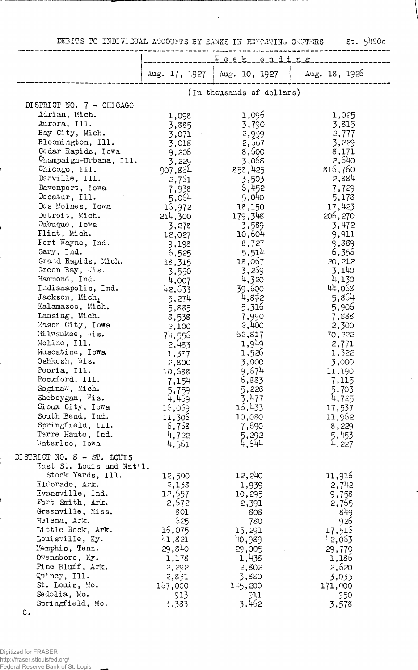DEBITS TO INDIVIDUAL ACCOUNTS BY BANKS IN REPORTING CENTERS St. 5420c

 $\Delta$ 

 $\hat{\mathcal{L}}$ 

|                                                                                                                                                                                                                                                                                                                                                                                                                                                                                                | <u>Week ending</u>                                                                                                                                                                                                           |                                                                                                                                                                                                                              |                                                                                                                                                                                                                             |  |
|------------------------------------------------------------------------------------------------------------------------------------------------------------------------------------------------------------------------------------------------------------------------------------------------------------------------------------------------------------------------------------------------------------------------------------------------------------------------------------------------|------------------------------------------------------------------------------------------------------------------------------------------------------------------------------------------------------------------------------|------------------------------------------------------------------------------------------------------------------------------------------------------------------------------------------------------------------------------|-----------------------------------------------------------------------------------------------------------------------------------------------------------------------------------------------------------------------------|--|
|                                                                                                                                                                                                                                                                                                                                                                                                                                                                                                |                                                                                                                                                                                                                              | Aug. 17, 1927   Aug. 10, 1927                                                                                                                                                                                                | Aug. 18, 1926                                                                                                                                                                                                               |  |
|                                                                                                                                                                                                                                                                                                                                                                                                                                                                                                |                                                                                                                                                                                                                              | (In thousands of dollars)                                                                                                                                                                                                    |                                                                                                                                                                                                                             |  |
| DISTRICT NO. 7 - CHICAGO<br>Adrian, Mich.<br>Aurora, Ill.<br>Bay City, Mich.<br>Bloomington, Ill.<br>Cedar Rapids, Iowa<br>Champaign-Urbana, Ill.<br>Chicago, Ill.<br>Danville, Ill.<br>Davenport, Iowa<br>Decatur, Ill.<br>Des Moines, Iowa<br>Detroit, Mich.<br>Dubuque, Iowa<br>Flint, Mich.<br>Fort Wayne, Ind.<br>Gary, Ind.<br>Grand Rapids, Mich.<br>Green Bay, Wis.<br>Hammond, Ind.<br>Indianapolis, Ind.<br>Jackson, Mich.<br>Kalamazoo, Mich.<br>Lansing, Mich.<br>Mason City, Iowa | 1,098<br>3,885<br>3,071<br>3,018<br>9,206<br>3,229<br>907,864<br>2,761<br>7,938<br>5,054<br>15,972<br>214,300<br>3,278<br>12,027<br>9,198<br>5,525<br>18,315<br>3,550<br>4,007<br>42,633<br>5,274<br>5,885<br>8,538<br>2,100 | 1,096<br>3,790<br>2,999<br>2,667<br>8,500<br>3,068<br>858,425<br>3,503<br>6,452<br>5,040<br>18,150<br>179,348<br>3,589<br>10,604<br>8,727<br>5,514<br>18,067<br>3,259<br>4,320<br>39,600<br>4,872<br>5,316<br>7,990<br>2,400 | 1,025<br>3,815<br>2,777<br>3,229<br>8,171<br>2,640<br>816,760<br>2,884<br>7,729<br>5,178<br>17,423<br>206,270<br>3,472<br>9,911<br>9,889<br>6,355<br>20,212<br>3,140<br>4,130<br>44,068<br>5,854<br>5,906<br>7,888<br>2,300 |  |
| Milwaukee, Mis.<br>Moline, Ill.<br>Muscatine, Iowa<br>Oshkosh, Wis.<br>Peoria, Ill.<br>Rockford, Ill.<br>Saginaw, Mich.<br>Sheboygan, Wis.<br>Sioux City, Iowa<br>South Bend, Ind.<br>Springfield, Ill.<br>Terre Haute, Ind.<br>Waterloo, Iowa                                                                                                                                                                                                                                                 | 74,556<br>2,483<br>1,337<br>2,800<br>10,588<br>7,154<br>5,759<br>4,459<br>16,059<br>11,306<br>6,758<br>4,722<br>4,561                                                                                                        | 62,817<br>$1,9^{19}$<br>1,526<br>3,000<br>9,674<br>5,883<br>5,228<br>3,477<br>16,433<br>10,080<br>7,690<br>5, 292<br>4, 644                                                                                                  | 70,222<br>2,771<br>1,322<br>3,000<br>11,190<br>7,115<br>5,703<br>4,725<br>17,537<br>11,962<br>8,229<br>5,453<br>4,227                                                                                                       |  |
| DISTRICT NO. 8 - ST. LOUIS<br>East St. Louis and Nat'l.<br>Stock Yards, Ill.<br>Eldorado, Ark.<br>Evansville, Ind.<br>Fort Smith, Ark.<br>Greenville, Miss.<br>Helena, Ark.<br>Little Rock, Ark.<br>Louisville, Ky.<br>Memphis, Tenn.<br>Owensboro, Ky.<br>Pine Bluff, Ark.<br>Quincy, Ill.<br>St. Louis, Mo.<br>Sedalia, Mo.<br>Springfield, Mo.<br>$\mathsf{C}$ .                                                                                                                            | 12,500<br>2,138<br>12,657<br>2,672<br>801<br>525<br>16,075<br>41,821<br>29,840<br>1,178<br>2,292<br>2,831<br>167,000<br>913<br>3,333                                                                                         | 12,240<br>1,939<br>10,295<br>2,391<br>808<br>780<br>15,291<br>40,989<br>29,005<br>1,438<br>2,802<br>3,880<br>145,200<br>911<br>3,462                                                                                         | 11,916<br>2,742<br>9,758<br>2,765<br>849<br>926<br>17,516<br>42,053<br>29,770<br>1,186<br>2,620<br>3,035<br>171,000<br>950<br>3,578                                                                                         |  |

Digitized for FRASER<br>http://fraser.stlouisfed.org/<br>Federal Reserve Bank of St. Louis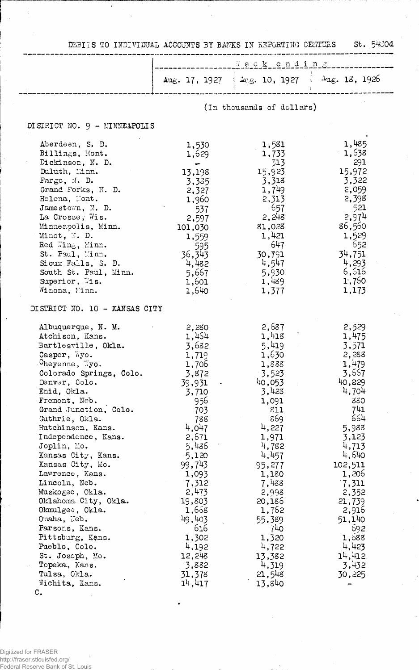DEBITS TO INDIVIDUAL ACCOUNTS BY BANKS IN REPORTING CENTERS St.  $54$ COd

|                                                                                                                                                                                                                                                                                                                                                                                                                                                                                                                                                                                                                                                       | Weckending                                                                                                                                                                                                                                                       |                                                                                                                                                                                                                                                                    |                                                                                                                                                                                                                                                         |
|-------------------------------------------------------------------------------------------------------------------------------------------------------------------------------------------------------------------------------------------------------------------------------------------------------------------------------------------------------------------------------------------------------------------------------------------------------------------------------------------------------------------------------------------------------------------------------------------------------------------------------------------------------|------------------------------------------------------------------------------------------------------------------------------------------------------------------------------------------------------------------------------------------------------------------|--------------------------------------------------------------------------------------------------------------------------------------------------------------------------------------------------------------------------------------------------------------------|---------------------------------------------------------------------------------------------------------------------------------------------------------------------------------------------------------------------------------------------------------|
|                                                                                                                                                                                                                                                                                                                                                                                                                                                                                                                                                                                                                                                       | Aug. 17, 1927 $\frac{1}{2}$ Aug. 10, 1927                                                                                                                                                                                                                        |                                                                                                                                                                                                                                                                    | $\lambda$ ug. 13, 1926                                                                                                                                                                                                                                  |
|                                                                                                                                                                                                                                                                                                                                                                                                                                                                                                                                                                                                                                                       |                                                                                                                                                                                                                                                                  | (In thousands of dollars)                                                                                                                                                                                                                                          |                                                                                                                                                                                                                                                         |
| DISTRICT NO. 9 - MINNEAPOLIS                                                                                                                                                                                                                                                                                                                                                                                                                                                                                                                                                                                                                          |                                                                                                                                                                                                                                                                  |                                                                                                                                                                                                                                                                    |                                                                                                                                                                                                                                                         |
| Aberdeen, S. D.<br>Billings, Mont.<br>Dickinson, N. D.<br>Duluth, Minn.<br>Fargo, N. D.<br>Grand Forks, N. D.<br>Helena, Mont.<br>Jamestown, N. D.<br>La Crosse, Wis.<br>Minneapolis, Minn.<br>Minot, N. D.<br>Red Wing, Minn.<br>St. Paul, Minn.<br>Sioux Falls, S. D.<br>South St. Paul, Minn.<br>Superior, is.<br>Winona, Minn.                                                                                                                                                                                                                                                                                                                    | 1,530<br>1,629<br>13,198<br>3,335<br>2,327<br>1,960<br>537<br>2,597<br>101,030<br>1,559<br>595<br>36,343<br>4,482<br>5,667<br>1,601<br>1,640                                                                                                                     | 1,581<br>1,733<br>313<br>15,923<br>3,318<br>1,749<br>2,313<br>657<br>2,248<br>81,028<br>1,421<br>647<br>30,791<br>4,547<br>5,930<br>1,489<br>1,377                                                                                                                 | 1,485<br>1,638<br>291<br>15,972<br>3,322<br>2,059<br>2,398<br>521<br>2,974<br>86,560<br>1,529<br>- 652<br>34,751<br>4,293<br>6,516<br>1,750<br>1,173                                                                                                    |
| DISTRICT NO. 10 - KANSAS CITY<br>Albuquerque, N. M.<br>Atchison, Kans.<br>Bartlesville, Okla.<br>Casper, Wyo.<br>$\mathbb{C}_{\text{heyenne}}$ , $\mathbb{C}_{\text{yo}}$ .<br>Colorado Springs, Colo.<br>Denver, Colo.<br>Enid, Okla.<br>Fremont, Neb.<br>Grand Junction, Colo.<br>Guthrie, Okla.<br>Hutchinson, Kans.<br>Independence, Kans.<br>Joplin, Mo.<br>Kansas City, Kans.<br>Kansas City, Mo.<br>Lawrence, Kans.<br>Lincoln, Neb.<br>Muskogee, Okla.<br>Oklahoma City, Okla.<br>Okmulgee, Okla.<br>Omaha, Neb.<br>Parsons, Kans.<br>Pittsburg, Kans.<br>Pueblo, Colo.<br>St. Joseph, Mo.<br>Topeka, Kans.<br>Tulsa, Okla.<br>Wichita, Kans. | 2,280<br>1,454<br>3,632<br>1,719<br>1,706<br>3,872<br>39,931<br>3,710<br>956<br>703<br>788<br>4,047<br>2,671<br>5,436<br>5,120<br>99,743<br>1,093<br>7,312<br>2,473<br>19,803<br>1,668<br>49,403<br>616<br>1,302<br>4,192<br>12,248<br>3,882<br>31,378<br>14,417 | 2,687<br>1,418<br>5,419<br>1,630<br>1,888<br>3,523<br>40,053<br>3,428<br>1,091<br>811<br>869<br>4,227<br>1,971<br>4,782<br>4,457<br>95,277<br>1,180<br>7,488<br>2,998<br>20,186<br>1,762<br>55,389<br>740<br>1,320<br>4,722<br>13,382<br>4,319<br>21,548<br>13,840 | 2,529<br>1,475<br>3,571<br>2,288<br>1,479<br>3,667<br>40,229<br>4,704<br>880<br>741<br>664<br>5,988<br>3,123<br>4,713<br>4,640<br>102,511<br>1,206<br>7,311<br>2,352<br>21,739<br>2,916<br>51,140<br>692<br>1,688<br>4,423<br>14,412<br>3,432<br>30,225 |